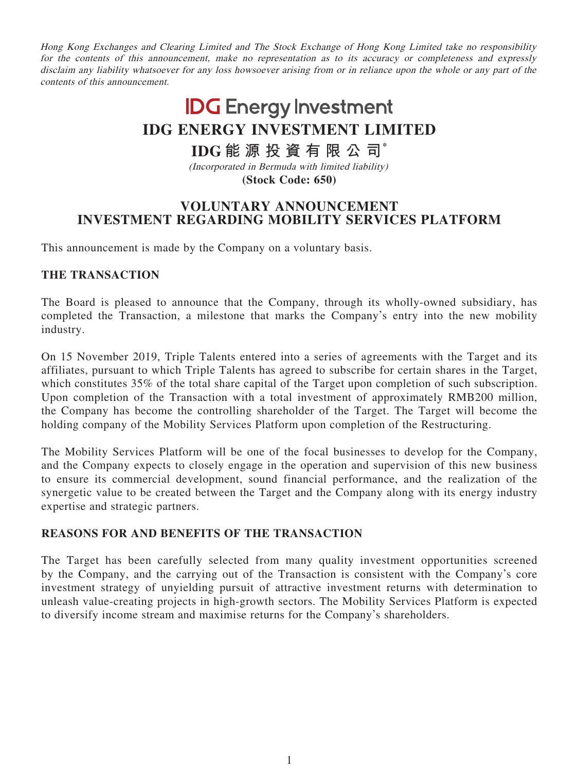Hong Kong Exchanges and Clearing Limited and The Stock Exchange of Hong Kong Limited take no responsibility for the contents of this announcement, make no representation as to its accuracy or completeness and expressly disclaim any liability whatsoever for any loss howsoever arising from or in reliance upon the whole or any part of the contents of this announcement.

# **IDG** Energy Investment **IDG ENERGY INVESTMENT LIMITED**

## **IDG 能源投資有限公司\***

(Incorporated in Bermuda with limited liability) **(Stock Code: 650)**

### **VOLUNTARY ANNOUNCEMENT INVESTMENT REGARDING MOBILITY SERVICES PLATFORM**

This announcement is made by the Company on a voluntary basis.

#### **THE TRANSACTION**

The Board is pleased to announce that the Company, through its wholly-owned subsidiary, has completed the Transaction, a milestone that marks the Company's entry into the new mobility industry.

On 15 November 2019, Triple Talents entered into a series of agreements with the Target and its affiliates, pursuant to which Triple Talents has agreed to subscribe for certain shares in the Target, which constitutes 35% of the total share capital of the Target upon completion of such subscription. Upon completion of the Transaction with a total investment of approximately RMB200 million, the Company has become the controlling shareholder of the Target. The Target will become the holding company of the Mobility Services Platform upon completion of the Restructuring.

The Mobility Services Platform will be one of the focal businesses to develop for the Company, and the Company expects to closely engage in the operation and supervision of this new business to ensure its commercial development, sound financial performance, and the realization of the synergetic value to be created between the Target and the Company along with its energy industry expertise and strategic partners.

#### **REASONS FOR AND BENEFITS OF THE TRANSACTION**

The Target has been carefully selected from many quality investment opportunities screened by the Company, and the carrying out of the Transaction is consistent with the Company's core investment strategy of unyielding pursuit of attractive investment returns with determination to unleash value-creating projects in high-growth sectors. The Mobility Services Platform is expected to diversify income stream and maximise returns for the Company's shareholders.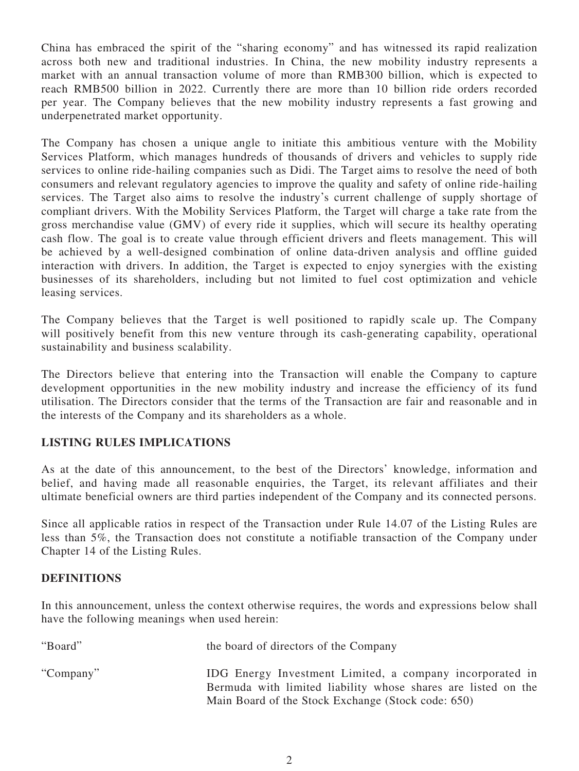China has embraced the spirit of the "sharing economy" and has witnessed its rapid realization across both new and traditional industries. In China, the new mobility industry represents a market with an annual transaction volume of more than RMB300 billion, which is expected to reach RMB500 billion in 2022. Currently there are more than 10 billion ride orders recorded per year. The Company believes that the new mobility industry represents a fast growing and underpenetrated market opportunity.

The Company has chosen a unique angle to initiate this ambitious venture with the Mobility Services Platform, which manages hundreds of thousands of drivers and vehicles to supply ride services to online ride-hailing companies such as Didi. The Target aims to resolve the need of both consumers and relevant regulatory agencies to improve the quality and safety of online ride-hailing services. The Target also aims to resolve the industry's current challenge of supply shortage of compliant drivers. With the Mobility Services Platform, the Target will charge a take rate from the gross merchandise value (GMV) of every ride it supplies, which will secure its healthy operating cash flow. The goal is to create value through efficient drivers and fleets management. This will be achieved by a well-designed combination of online data-driven analysis and offline guided interaction with drivers. In addition, the Target is expected to enjoy synergies with the existing businesses of its shareholders, including but not limited to fuel cost optimization and vehicle leasing services.

The Company believes that the Target is well positioned to rapidly scale up. The Company will positively benefit from this new venture through its cash-generating capability, operational sustainability and business scalability.

The Directors believe that entering into the Transaction will enable the Company to capture development opportunities in the new mobility industry and increase the efficiency of its fund utilisation. The Directors consider that the terms of the Transaction are fair and reasonable and in the interests of the Company and its shareholders as a whole.

#### **LISTING RULES IMPLICATIONS**

As at the date of this announcement, to the best of the Directors' knowledge, information and belief, and having made all reasonable enquiries, the Target, its relevant affiliates and their ultimate beneficial owners are third parties independent of the Company and its connected persons.

Since all applicable ratios in respect of the Transaction under Rule 14.07 of the Listing Rules are less than 5%, the Transaction does not constitute a notifiable transaction of the Company under Chapter 14 of the Listing Rules.

#### **DEFINITIONS**

In this announcement, unless the context otherwise requires, the words and expressions below shall have the following meanings when used herein:

| "Board"   | the board of directors of the Company                                                                                                                                           |
|-----------|---------------------------------------------------------------------------------------------------------------------------------------------------------------------------------|
| "Company" | IDG Energy Investment Limited, a company incorporated in<br>Bermuda with limited liability whose shares are listed on the<br>Main Board of the Stock Exchange (Stock code: 650) |